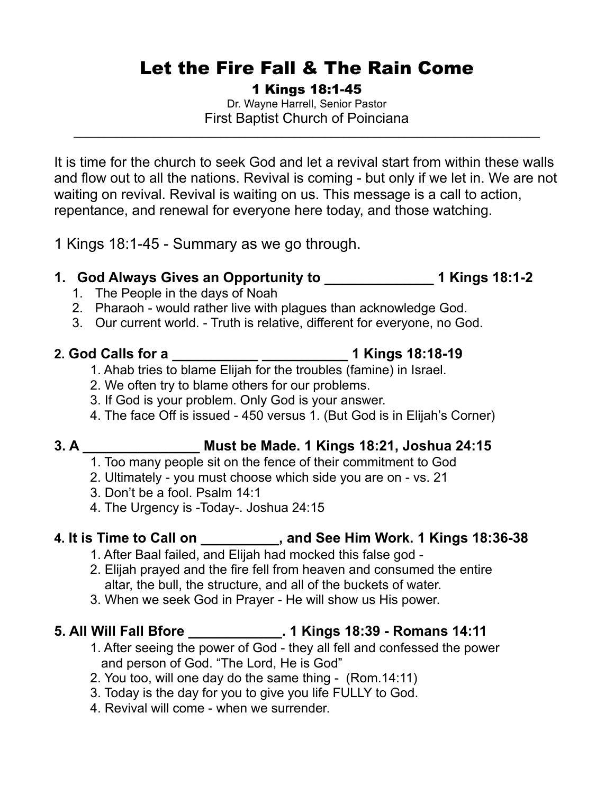# Let the Fire Fall & The Rain Come

1 Kings 18:1-45

Dr. Wayne Harrell, Senior Pastor First Baptist Church of Poinciana

\_\_\_\_\_\_\_\_\_\_\_\_\_\_\_\_\_\_\_\_\_\_\_\_\_\_\_\_\_\_\_\_\_\_\_\_\_\_\_\_\_\_\_\_\_\_\_\_\_\_\_\_\_\_\_\_\_\_\_\_\_\_\_\_\_\_\_\_\_\_\_\_\_\_\_\_

It is time for the church to seek God and let a revival start from within these walls and flow out to all the nations. Revival is coming - but only if we let in. We are not waiting on revival. Revival is waiting on us. This message is a call to action, repentance, and renewal for everyone here today, and those watching.

1 Kings 18:1-45 - Summary as we go through.

## **1. God Always Gives an Opportunity to \_\_\_\_\_\_\_\_\_\_\_\_\_\_ 1 Kings 18:1-2**

- 1. The People in the days of Noah
- 2. Pharaoh would rather live with plagues than acknowledge God.
- 3. Our current world. Truth is relative, different for everyone, no God.

#### **2. God Calls for a \_\_\_\_\_\_\_\_\_\_\_ \_\_\_\_\_\_\_\_\_\_\_ 1 Kings 18:18-19**

- 1. Ahab tries to blame Elijah for the troubles (famine) in Israel.
- 2. We often try to blame others for our problems.
- 3. If God is your problem. Only God is your answer.
- 4. The face Off is issued 450 versus 1. (But God is in Elijah's Corner)

## **3. A \_\_\_\_\_\_\_\_\_\_\_\_\_\_\_ Must be Made. 1 Kings 18:21, Joshua 24:15**

- 1. Too many people sit on the fence of their commitment to God
- 2. Ultimately you must choose which side you are on vs. 21
- 3. Don't be a fool. Psalm 14:1
- 4. The Urgency is -Today-. Joshua 24:15

## **4. It is Time to Call on \_\_\_\_\_\_\_\_\_\_, and See Him Work. 1 Kings 18:36-38**

- 1. After Baal failed, and Elijah had mocked this false god -
- 2. Elijah prayed and the fire fell from heaven and consumed the entire altar, the bull, the structure, and all of the buckets of water.
- 3. When we seek God in Prayer He will show us His power.

## **5. All Will Fall Bfore \_\_\_\_\_\_\_\_\_\_\_\_. 1 Kings 18:39 - Romans 14:11**

- 1. After seeing the power of God they all fell and confessed the power and person of God. "The Lord, He is God"
- 2. You too, will one day do the same thing (Rom.14:11)
- 3. Today is the day for you to give you life FULLY to God.
- 4. Revival will come when we surrender.